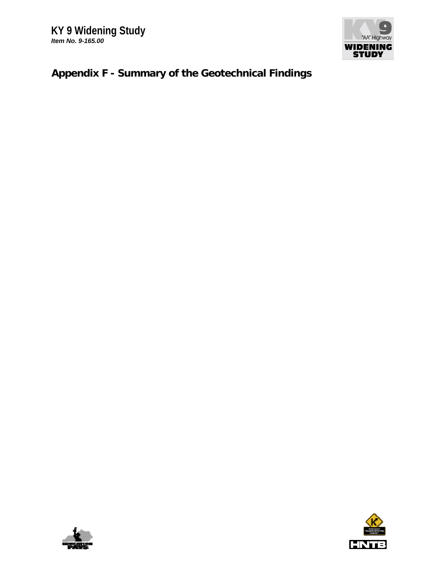

## **Appendix F - Summary of the Geotechnical Findings**



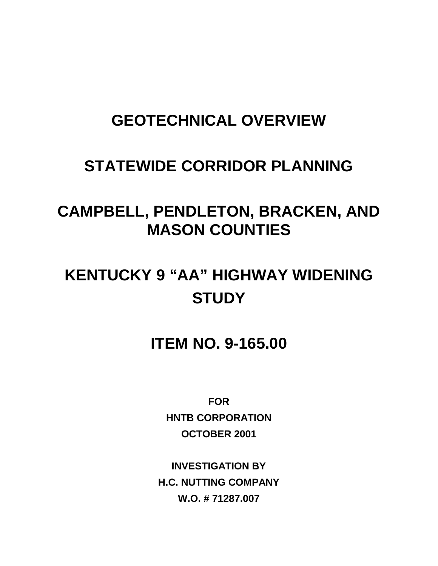## **GEOTECHNICAL OVERVIEW**

## **STATEWIDE CORRIDOR PLANNING**

# **CAMPBELL, PENDLETON, BRACKEN, AND MASON COUNTIES**

# **KENTUCKY 9 "AA" HIGHWAY WIDENING STUDY**

**ITEM NO. 9-165.00**

**FOR HNTB CORPORATION OCTOBER 2001**

**INVESTIGATION BY H.C. NUTTING COMPANY W.O. # 71287.007**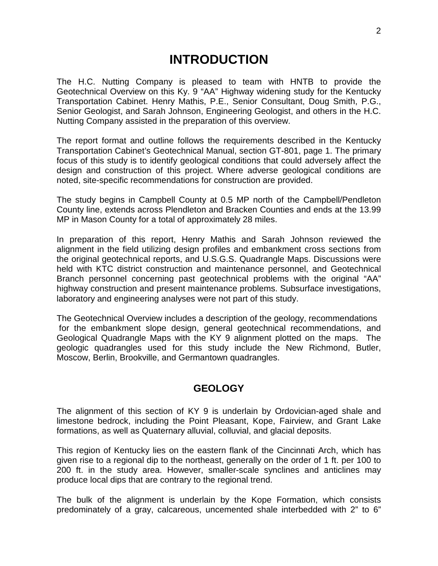### **INTRODUCTION**

The H.C. Nutting Company is pleased to team with HNTB to provide the Geotechnical Overview on this Ky. 9 "AA" Highway widening study for the Kentucky Transportation Cabinet. Henry Mathis, P.E., Senior Consultant, Doug Smith, P.G., Senior Geologist, and Sarah Johnson, Engineering Geologist, and others in the H.C. Nutting Company assisted in the preparation of this overview.

The report format and outline follows the requirements described in the Kentucky Transportation Cabinet's Geotechnical Manual, section GT-801, page 1. The primary focus of this study is to identify geological conditions that could adversely affect the design and construction of this project. Where adverse geological conditions are noted, site-specific recommendations for construction are provided.

The study begins in Campbell County at 0.5 MP north of the Campbell/Pendleton County line, extends across Plendleton and Bracken Counties and ends at the 13.99 MP in Mason County for a total of approximately 28 miles.

In preparation of this report, Henry Mathis and Sarah Johnson reviewed the alignment in the field utilizing design profiles and embankment cross sections from the original geotechnical reports, and U.S.G.S. Quadrangle Maps. Discussions were held with KTC district construction and maintenance personnel, and Geotechnical Branch personnel concerning past geotechnical problems with the original "AA" highway construction and present maintenance problems. Subsurface investigations, laboratory and engineering analyses were not part of this study.

The Geotechnical Overview includes a description of the geology, recommendations for the embankment slope design, general geotechnical recommendations, and Geological Quadrangle Maps with the KY 9 alignment plotted on the maps. The geologic quadrangles used for this study include the New Richmond, Butler, Moscow, Berlin, Brookville, and Germantown quadrangles.

### **GEOLOGY**

The alignment of this section of KY 9 is underlain by Ordovician-aged shale and limestone bedrock, including the Point Pleasant, Kope, Fairview, and Grant Lake formations, as well as Quaternary alluvial, colluvial, and glacial deposits.

This region of Kentucky lies on the eastern flank of the Cincinnati Arch, which has given rise to a regional dip to the northeast, generally on the order of 1 ft. per 100 to 200 ft. in the study area. However, smaller-scale synclines and anticlines may produce local dips that are contrary to the regional trend.

The bulk of the alignment is underlain by the Kope Formation, which consists predominately of a gray, calcareous, uncemented shale interbedded with 2" to 6"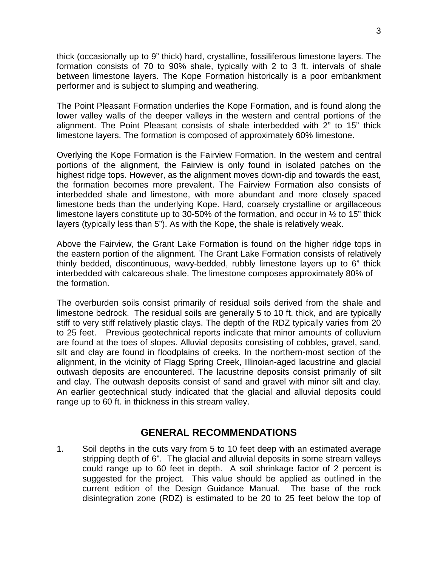thick (occasionally up to 9" thick) hard, crystalline, fossiliferous limestone layers. The formation consists of 70 to 90% shale, typically with 2 to 3 ft. intervals of shale between limestone layers. The Kope Formation historically is a poor embankment performer and is subject to slumping and weathering.

The Point Pleasant Formation underlies the Kope Formation, and is found along the lower valley walls of the deeper valleys in the western and central portions of the alignment. The Point Pleasant consists of shale interbedded with 2" to 15" thick limestone layers. The formation is composed of approximately 60% limestone.

Overlying the Kope Formation is the Fairview Formation. In the western and central portions of the alignment, the Fairview is only found in isolated patches on the highest ridge tops. However, as the alignment moves down-dip and towards the east, the formation becomes more prevalent. The Fairview Formation also consists of interbedded shale and limestone, with more abundant and more closely spaced limestone beds than the underlying Kope. Hard, coarsely crystalline or argillaceous limestone layers constitute up to 30-50% of the formation, and occur in ½ to 15" thick layers (typically less than 5"). As with the Kope, the shale is relatively weak.

Above the Fairview, the Grant Lake Formation is found on the higher ridge tops in the eastern portion of the alignment. The Grant Lake Formation consists of relatively thinly bedded, discontinuous, wavy-bedded, rubbly limestone layers up to 6" thick interbedded with calcareous shale. The limestone composes approximately 80% of the formation.

The overburden soils consist primarily of residual soils derived from the shale and limestone bedrock. The residual soils are generally 5 to 10 ft. thick, and are typically stiff to very stiff relatively plastic clays. The depth of the RDZ typically varies from 20 to 25 feet. Previous geotechnical reports indicate that minor amounts of colluvium are found at the toes of slopes. Alluvial deposits consisting of cobbles, gravel, sand, silt and clay are found in floodplains of creeks. In the northern-most section of the alignment, in the vicinity of Flagg Spring Creek, Illinoian-aged lacustrine and glacial outwash deposits are encountered. The lacustrine deposits consist primarily of silt and clay. The outwash deposits consist of sand and gravel with minor silt and clay. An earlier geotechnical study indicated that the glacial and alluvial deposits could range up to 60 ft. in thickness in this stream valley.

#### **GENERAL RECOMMENDATIONS**

1. Soil depths in the cuts vary from 5 to 10 feet deep with an estimated average stripping depth of 6". The glacial and alluvial deposits in some stream valleys could range up to 60 feet in depth. A soil shrinkage factor of 2 percent is suggested for the project. This value should be applied as outlined in the current edition of the Design Guidance Manual. The base of the rock disintegration zone (RDZ) is estimated to be 20 to 25 feet below the top of